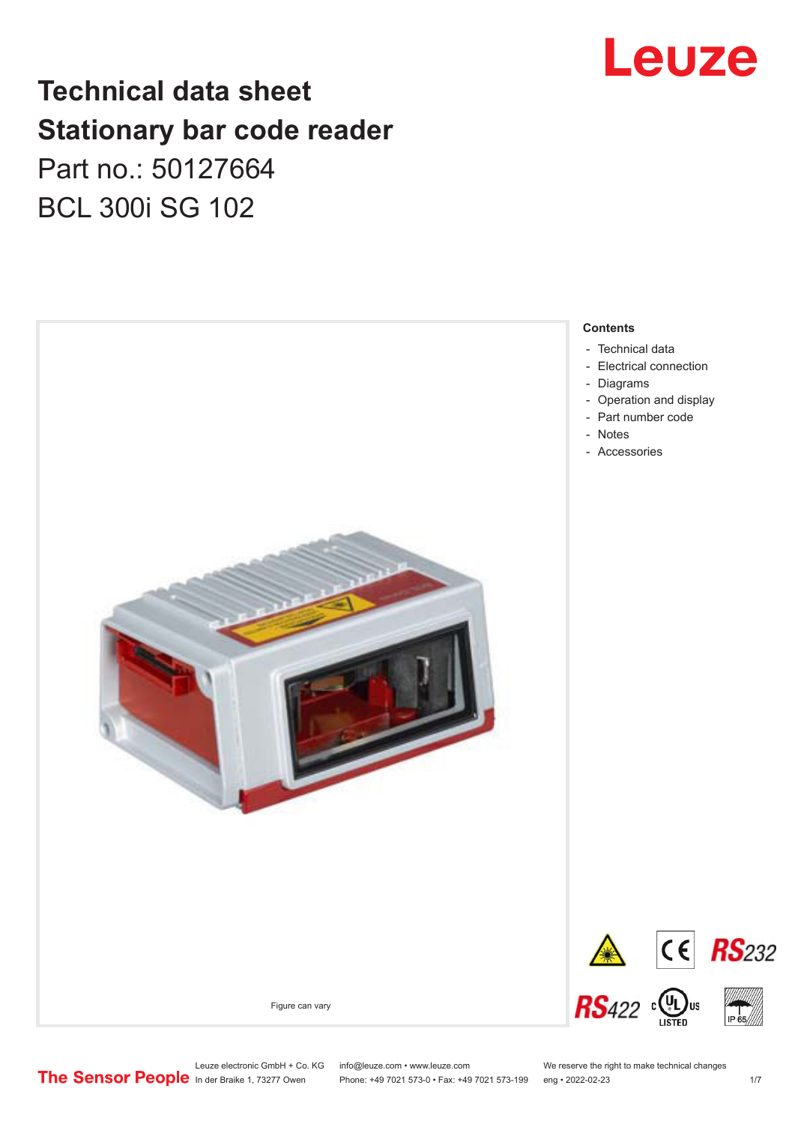

## **Technical data sheet Stationary bar code reader** Part no.: 50127664 BCL 300i SG 102



Leuze electronic GmbH + Co. KG info@leuze.com • www.leuze.com We reserve the right to make technical changes<br>
The Sensor People in der Braike 1, 73277 Owen Phone: +49 7021 573-0 • Fax: +49 7021 573-199 eng • 2022-02-23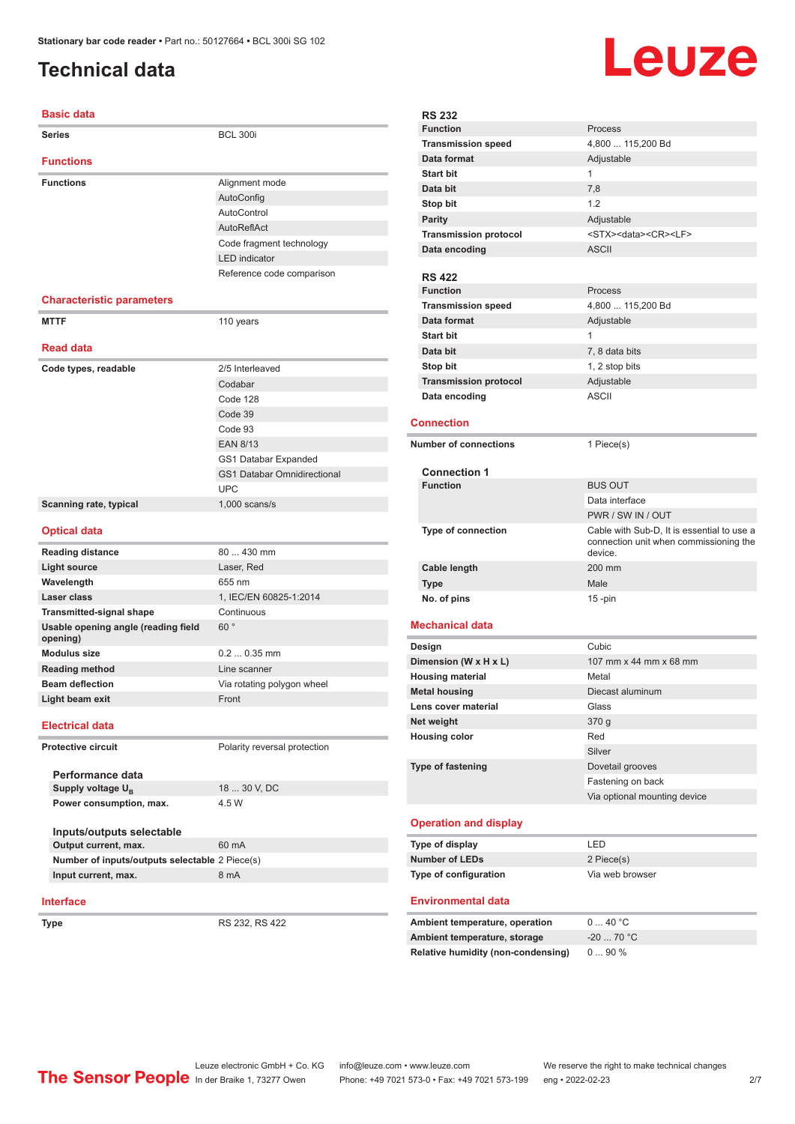#### <span id="page-1-0"></span>**Technical data**

#### **Basic data**

| <b>Series</b>                                     | <b>BCL 300i</b>                    |
|---------------------------------------------------|------------------------------------|
| <b>Functions</b>                                  |                                    |
| <b>Functions</b>                                  | Alignment mode                     |
|                                                   | AutoConfig                         |
|                                                   | AutoControl                        |
|                                                   | AutoReflAct                        |
|                                                   | Code fragment technology           |
|                                                   | <b>LED</b> indicator               |
|                                                   | Reference code comparison          |
|                                                   |                                    |
| <b>Characteristic parameters</b>                  |                                    |
| <b>MTTF</b>                                       | 110 years                          |
| <b>Read data</b>                                  |                                    |
| Code types, readable                              | 2/5 Interleaved                    |
|                                                   | Codabar                            |
|                                                   | Code 128                           |
|                                                   | Code 39                            |
|                                                   | Code 93                            |
|                                                   | <b>EAN 8/13</b>                    |
|                                                   | GS1 Databar Expanded               |
|                                                   | <b>GS1 Databar Omnidirectional</b> |
|                                                   | <b>UPC</b>                         |
| Scanning rate, typical                            | $1,000$ scans/s                    |
|                                                   |                                    |
| <b>Optical data</b>                               |                                    |
| <b>Reading distance</b>                           | 80  430 mm                         |
| <b>Light source</b>                               | Laser, Red                         |
| Wavelength                                        | 655 nm                             |
| <b>Laser class</b>                                | 1, IEC/EN 60825-1:2014             |
| <b>Transmitted-signal shape</b>                   | Continuous                         |
| Usable opening angle (reading field<br>opening)   | 60°                                |
| <b>Modulus size</b>                               | $0.20.35$ mm                       |
| <b>Reading method</b>                             | Line scanner                       |
| <b>Beam deflection</b>                            | Via rotating polygon wheel         |
| Light beam exit                                   | Front                              |
| <b>Electrical data</b>                            |                                    |
| <b>Protective circuit</b>                         | Polarity reversal protection       |
|                                                   |                                    |
| Performance data                                  |                                    |
| Supply voltage U <sub>B</sub>                     | 18  30 V, DC                       |
| Power consumption, max.                           | 4.5 W                              |
|                                                   |                                    |
| Inputs/outputs selectable<br>Output current, max. | 60 mA                              |
| Number of inputs/outputs selectable 2 Piece(s)    |                                    |
| Input current, max.                               | 8 mA                               |
|                                                   |                                    |
| <b>Interface</b>                                  |                                    |
| <b>Type</b>                                       | RS 232, RS 422                     |



| <b>RS 232</b>                                                                                               |                                                   |
|-------------------------------------------------------------------------------------------------------------|---------------------------------------------------|
| <b>Function</b>                                                                                             | Process                                           |
| <b>Transmission speed</b>                                                                                   | 4,800  115,200 Bd                                 |
| Data format                                                                                                 | Adjustable                                        |
| <b>Start bit</b>                                                                                            | 1                                                 |
| Data bit                                                                                                    | 7,8                                               |
| Stop bit                                                                                                    | 1.2                                               |
| <b>Parity</b>                                                                                               | Adjustable                                        |
| <b>Transmission protocol</b>                                                                                | <stx><data><cr><lf></lf></cr></data></stx>        |
| Data encoding                                                                                               | <b>ASCII</b>                                      |
|                                                                                                             |                                                   |
| <b>RS 422</b>                                                                                               |                                                   |
| <b>Function</b>                                                                                             | Process                                           |
| <b>Transmission speed</b>                                                                                   | 4,800  115,200 Bd                                 |
| Data format                                                                                                 | Adjustable                                        |
| <b>Start bit</b>                                                                                            | 1                                                 |
| Data bit                                                                                                    | 7, 8 data bits                                    |
| Stop bit                                                                                                    | 1, 2 stop bits                                    |
| <b>Transmission protocol</b>                                                                                | Adjustable                                        |
| Data encoding                                                                                               | <b>ASCII</b>                                      |
| Connection                                                                                                  |                                                   |
|                                                                                                             |                                                   |
| <b>Number of connections</b>                                                                                | 1 Piece(s)                                        |
|                                                                                                             |                                                   |
| <b>Connection 1</b><br><b>Function</b>                                                                      | <b>BUS OUT</b>                                    |
|                                                                                                             | Data interface                                    |
|                                                                                                             | PWR / SW IN / OUT                                 |
|                                                                                                             | Cable with Sub-D, It is essential to use a        |
| <b>Type of connection</b>                                                                                   | connection unit when commissioning the<br>device. |
| <b>Cable length</b>                                                                                         | 200 mm                                            |
| <b>Type</b>                                                                                                 | Male                                              |
| No. of pins                                                                                                 | $15 - pin$                                        |
| Mechanical data                                                                                             |                                                   |
|                                                                                                             | Cubic                                             |
| Design<br>Dimension (W x H x L)                                                                             | 107 mm x 44 mm x 68 mm                            |
| <b>Housing material</b>                                                                                     | Metal                                             |
| <b>Metal housing</b>                                                                                        | Diecast aluminum                                  |
| Lens cover material                                                                                         | Glass                                             |
| Net weight                                                                                                  | 370 g                                             |
| <b>Housing color</b>                                                                                        |                                                   |
|                                                                                                             |                                                   |
|                                                                                                             | Red                                               |
|                                                                                                             | Silver                                            |
| <b>Type of fastening</b>                                                                                    | Dovetail grooves                                  |
|                                                                                                             | Fastening on back                                 |
|                                                                                                             | Via optional mounting device                      |
| <b>Operation and display</b>                                                                                |                                                   |
| Type of display                                                                                             | LED                                               |
| <b>Number of LEDs</b>                                                                                       | 2 Piece(s)                                        |
| Type of configuration                                                                                       | Via web browser                                   |
| <b>Environmental data</b>                                                                                   |                                                   |
|                                                                                                             | 040 °C                                            |
|                                                                                                             | $-2070 °C$                                        |
| Ambient temperature, operation<br>Ambient temperature, storage<br><b>Relative humidity (non-condensing)</b> | 090%                                              |

Leuze electronic GmbH + Co. KG info@leuze.com • www.leuze.com We reserve the right to make technical changes In der Braike 1, 73277 Owen Phone: +49 7021 573-0 • Fax: +49 7021 573-199 eng • 2022-02-23 2/7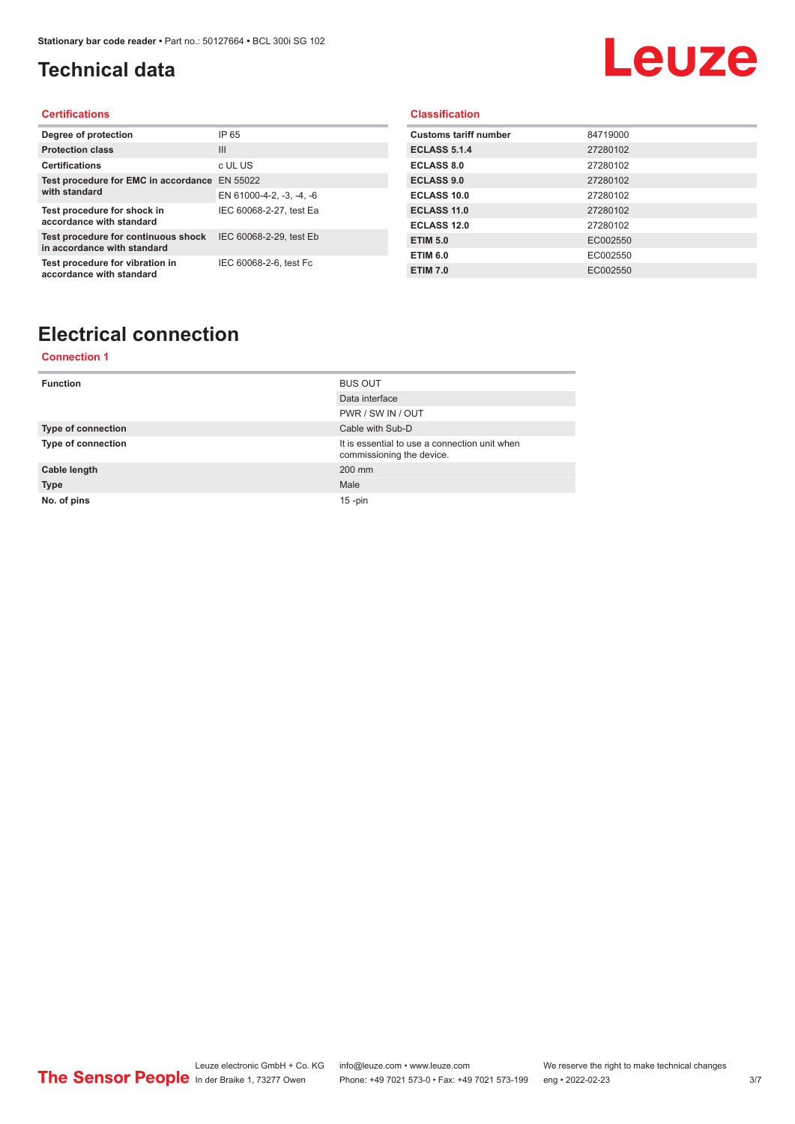### <span id="page-2-0"></span>**Technical data**

# Leuze

#### **Certifications**

| Degree of protection                                               | IP 65                    |
|--------------------------------------------------------------------|--------------------------|
| <b>Protection class</b>                                            | $\mathbf{III}$           |
| <b>Certifications</b>                                              | c UL US                  |
| Test procedure for EMC in accordance EN 55022                      |                          |
| with standard                                                      | EN 61000-4-2, -3, -4, -6 |
| Test procedure for shock in<br>accordance with standard            | IEC 60068-2-27, test Ea  |
| Test procedure for continuous shock<br>in accordance with standard | IEC 60068-2-29, test Eb  |
| Test procedure for vibration in<br>accordance with standard        | IEC 60068-2-6, test Fc   |

#### **Classification**

| <b>Customs tariff number</b> | 84719000 |
|------------------------------|----------|
| <b>ECLASS 5.1.4</b>          | 27280102 |
| <b>ECLASS 8.0</b>            | 27280102 |
| <b>ECLASS 9.0</b>            | 27280102 |
| ECLASS 10.0                  | 27280102 |
| ECLASS 11.0                  | 27280102 |
| ECLASS 12.0                  | 27280102 |
| <b>ETIM 5.0</b>              | EC002550 |
| <b>ETIM 6.0</b>              | EC002550 |
| <b>ETIM 7.0</b>              | EC002550 |

## **Electrical connection**

#### **Connection 1**

| <b>Function</b>           | <b>BUS OUT</b>                                                             |
|---------------------------|----------------------------------------------------------------------------|
|                           | Data interface                                                             |
|                           | PWR / SW IN / OUT                                                          |
| <b>Type of connection</b> | Cable with Sub-D                                                           |
| <b>Type of connection</b> | It is essential to use a connection unit when<br>commissioning the device. |
| Cable length              | 200 mm                                                                     |
| <b>Type</b>               | Male                                                                       |
| No. of pins               | $15$ -pin                                                                  |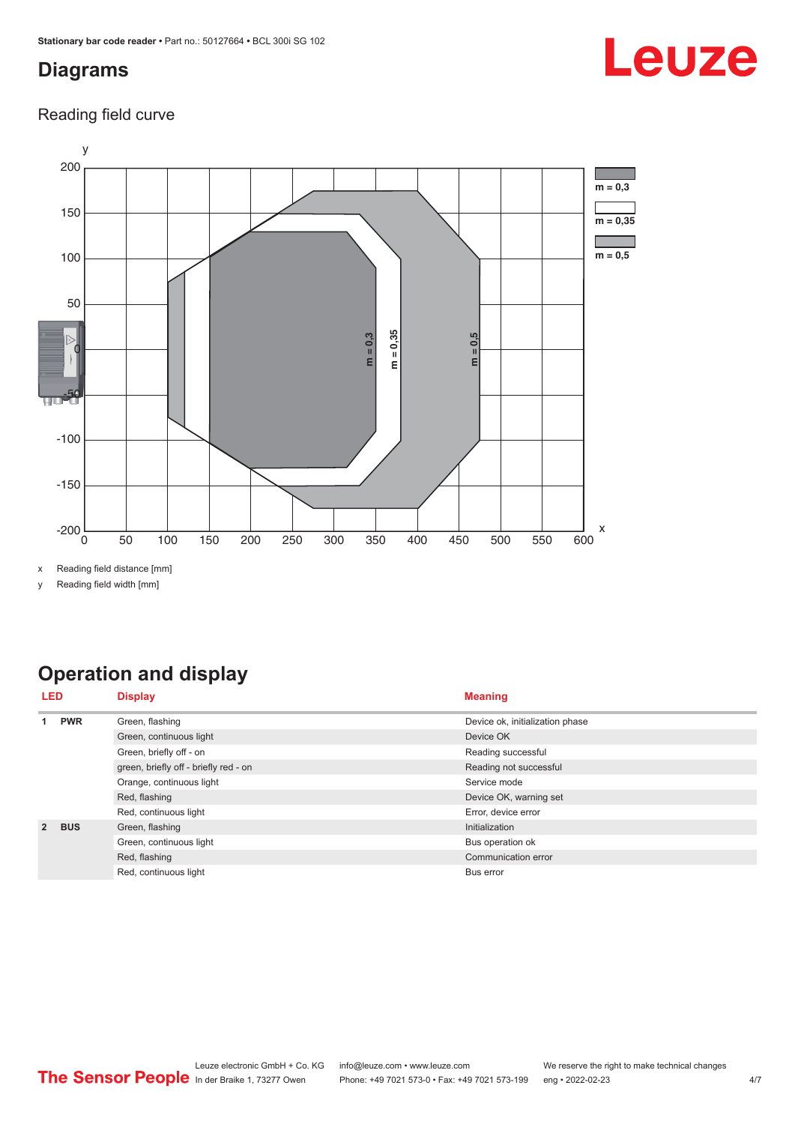#### <span id="page-3-0"></span>**Diagrams**

# Leuze

Reading field curve



x Reading field distance [mm]

y Reading field width [mm]

## **Operation and display**

| <b>LED</b>    |                         | <b>Display</b>                        | <b>Meaning</b>                  |
|---------------|-------------------------|---------------------------------------|---------------------------------|
|               | <b>PWR</b>              | Green, flashing                       | Device ok, initialization phase |
|               |                         | Green, continuous light               | Device OK                       |
|               |                         | Green, briefly off - on               | Reading successful              |
|               |                         | green, briefly off - briefly red - on | Reading not successful          |
|               |                         | Orange, continuous light              | Service mode                    |
|               |                         | Red, flashing                         | Device OK, warning set          |
|               |                         | Red, continuous light                 | Error, device error             |
| $\mathcal{P}$ | <b>BUS</b>              | Green, flashing                       | Initialization                  |
|               | Green, continuous light | Bus operation ok                      |                                 |
|               |                         | Red, flashing                         | Communication error             |
|               |                         | Red, continuous light                 | Bus error                       |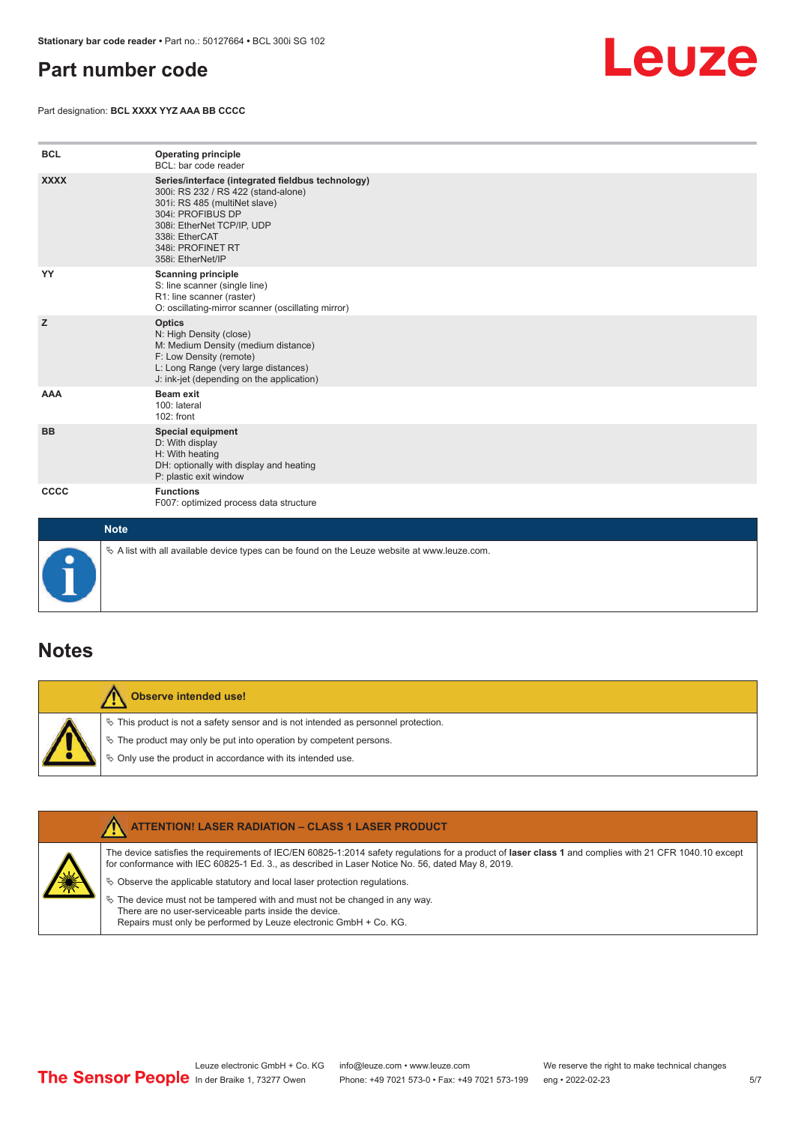#### <span id="page-4-0"></span>**Part number code**

Part designation: **BCL XXXX YYZ AAA BB CCCC**



| <b>BCL</b>  | <b>Operating principle</b><br>BCL: bar code reader                                                                                                                                                                                       |
|-------------|------------------------------------------------------------------------------------------------------------------------------------------------------------------------------------------------------------------------------------------|
| <b>XXXX</b> | Series/interface (integrated fieldbus technology)<br>300i: RS 232 / RS 422 (stand-alone)<br>301i: RS 485 (multiNet slave)<br>304i: PROFIBUS DP<br>308i: EtherNet TCP/IP, UDP<br>338i: EtherCAT<br>348i: PROFINET RT<br>358i: EtherNet/IP |
| YY          | <b>Scanning principle</b><br>S: line scanner (single line)<br>R1: line scanner (raster)<br>O: oscillating-mirror scanner (oscillating mirror)                                                                                            |
| z           | <b>Optics</b><br>N: High Density (close)<br>M: Medium Density (medium distance)<br>F: Low Density (remote)<br>L: Long Range (very large distances)<br>J: ink-jet (depending on the application)                                          |
| <b>AAA</b>  | <b>Beam exit</b><br>100: lateral<br>102: front                                                                                                                                                                                           |
| <b>BB</b>   | <b>Special equipment</b><br>D: With display<br>H: With heating<br>DH: optionally with display and heating<br>P: plastic exit window                                                                                                      |
| CCCC        | <b>Functions</b><br>F007: optimized process data structure                                                                                                                                                                               |
| <b>Note</b> |                                                                                                                                                                                                                                          |



 $\%$  A list with all available device types can be found on the Leuze website at www.leuze.com.

#### **Notes**

**Observe intended use!** Λ  $\%$  This product is not a safety sensor and is not intended as personnel protection.  $\%$  The product may only be put into operation by competent persons.  $\%$  Only use the product in accordance with its intended use.

|  | <b>ATTENTION! LASER RADIATION - CLASS 1 LASER PRODUCT</b>                                                                                                                                                                                                  |
|--|------------------------------------------------------------------------------------------------------------------------------------------------------------------------------------------------------------------------------------------------------------|
|  | The device satisfies the requirements of IEC/EN 60825-1:2014 safety requlations for a product of laser class 1 and complies with 21 CFR 1040.10 except<br>for conformance with IEC 60825-1 Ed. 3., as described in Laser Notice No. 56, dated May 8, 2019. |
|  | $\&$ Observe the applicable statutory and local laser protection regulations.                                                                                                                                                                              |
|  | $\%$ The device must not be tampered with and must not be changed in any way.<br>There are no user-serviceable parts inside the device.<br>Repairs must only be performed by Leuze electronic GmbH + Co. KG.                                               |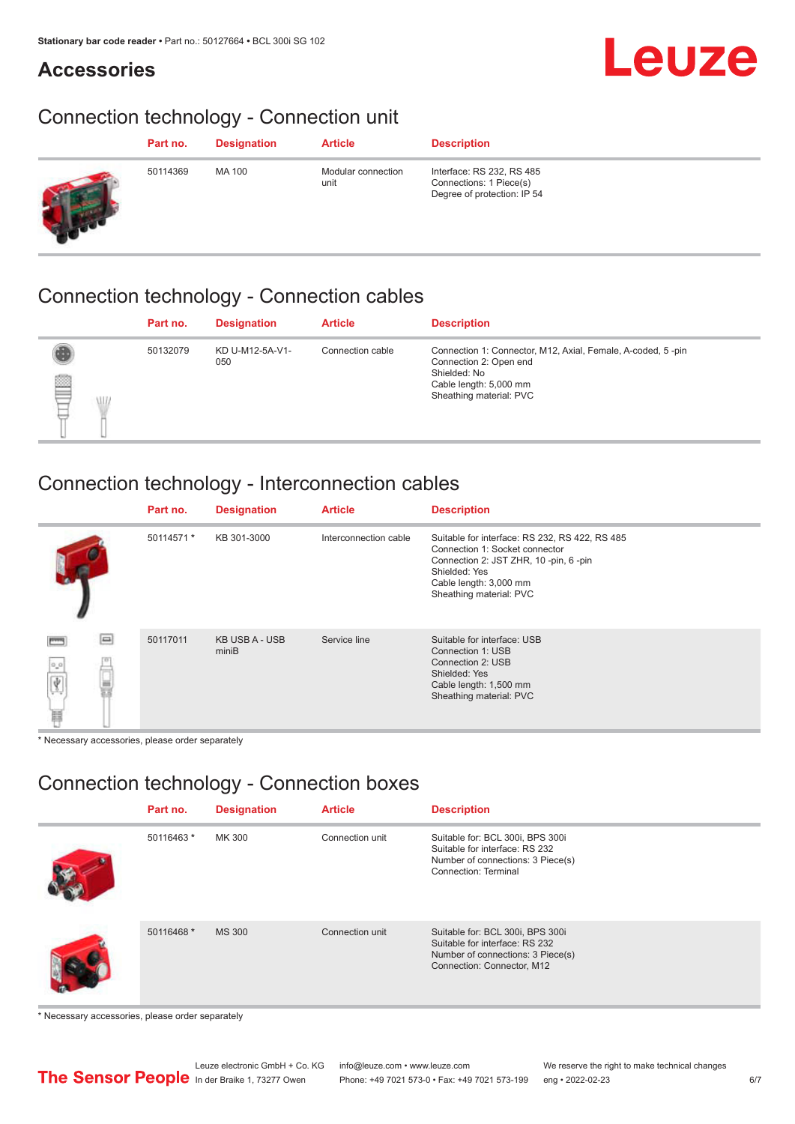#### **Accessories**

# Leuze

## Connection technology - Connection unit

| Part no. | <b>Designation</b> | <b>Article</b>             | <b>Description</b>                                                                  |
|----------|--------------------|----------------------------|-------------------------------------------------------------------------------------|
| 50114369 | MA 100             | Modular connection<br>unit | Interface: RS 232, RS 485<br>Connections: 1 Piece(s)<br>Degree of protection: IP 54 |

#### Connection technology - Connection cables

|                     | Part no. | <b>Designation</b>     | <b>Article</b>   | <b>Description</b>                                                                                                                                         |
|---------------------|----------|------------------------|------------------|------------------------------------------------------------------------------------------------------------------------------------------------------------|
| tulle<br><b>ALL</b> | 50132079 | KD U-M12-5A-V1-<br>050 | Connection cable | Connection 1: Connector, M12, Axial, Female, A-coded, 5-pin<br>Connection 2: Open end<br>Shielded: No<br>Cable length: 5,000 mm<br>Sheathing material: PVC |

#### Connection technology - Interconnection cables

|                                | Part no.   | <b>Designation</b>      | <b>Article</b>        | <b>Description</b>                                                                                                                                                                               |
|--------------------------------|------------|-------------------------|-----------------------|--------------------------------------------------------------------------------------------------------------------------------------------------------------------------------------------------|
|                                | 50114571 * | KB 301-3000             | Interconnection cable | Suitable for interface: RS 232, RS 422, RS 485<br>Connection 1: Socket connector<br>Connection 2: JST ZHR, 10 -pin, 6 -pin<br>Shielded: Yes<br>Cable length: 3,000 mm<br>Sheathing material: PVC |
| e<br>$\frac{1}{\sqrt{3}}$<br>畐 | 50117011   | KB USB A - USB<br>miniB | Service line          | Suitable for interface: USB<br>Connection 1: USB<br>Connection 2: USB<br>Shielded: Yes<br>Cable length: 1,500 mm<br>Sheathing material: PVC                                                      |

\* Necessary accessories, please order separately

#### Connection technology - Connection boxes

| Part no.   | <b>Designation</b> | <b>Article</b>  | <b>Description</b>                                                                                                                    |
|------------|--------------------|-----------------|---------------------------------------------------------------------------------------------------------------------------------------|
| 50116463 * | MK 300             | Connection unit | Suitable for: BCL 300i, BPS 300i<br>Suitable for interface: RS 232<br>Number of connections: 3 Piece(s)<br>Connection: Terminal       |
| 50116468 * | <b>MS 300</b>      | Connection unit | Suitable for: BCL 300i, BPS 300i<br>Suitable for interface: RS 232<br>Number of connections: 3 Piece(s)<br>Connection: Connector, M12 |

\* Necessary accessories, please order separately